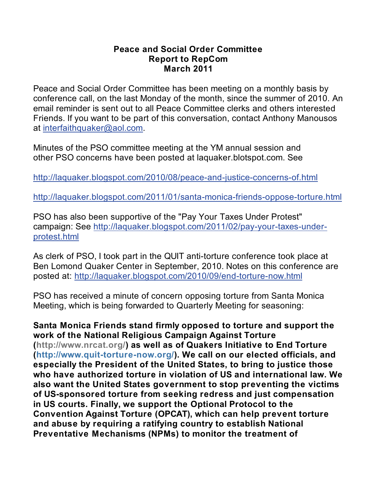## **Peace and Social Order Committee Report to RepCom March 2011**

Peace and Social Order Committee has been meeting on a monthly basis by conference call, on the last Monday of the month, since the summer of 2010. An email reminder is sent out to all Peace Committee clerks and others interested Friends. If you want to be part of this conversation, contact Anthony Manousos at interfaithquaker@aol.com.

Minutes of the PSO committee meeting at the YM annual session and other PSO concerns have been posted at laquaker.blotspot.com. See

http://laquaker.blogspot.com/2010/08/peace-and-justice-concerns-of.html

http://laquaker.blogspot.com/2011/01/santa-monica-friends-oppose-torture.html

PSO has also been supportive of the "Pay Your Taxes Under Protest" campaign: See http://laquaker.blogspot.com/2011/02/pay-your-taxes-underprotest.html

As clerk of PSO, I took part in the QUIT anti-torture conference took place at Ben Lomond Quaker Center in September, 2010. Notes on this conference are posted at: http://laquaker.blogspot.com/2010/09/end-torture-now.html

PSO has received a minute of concern opposing torture from Santa Monica Meeting, which is being forwarded to Quarterly Meeting for seasoning:

**Santa Monica Friends stand firmly opposed to torture and support the work of the National Religious Campaign Against Torture (http://www.nrcat.org/) as well as of Quakers Initiative to End Torture (http://www.quit-torture-now.org/). We call on our elected officials, and especially the President of the United States, to bring to justice those who have authorized torture in violation of US and international law. We also want the United States government to stop preventing the victims of US-sponsored torture from seeking redress and just compensation in US courts. Finally, we support the Optional Protocol to the Convention Against Torture (OPCAT), which can help prevent torture and abuse by requiring a ratifying country to establish National Preventative Mechanisms (NPMs) to monitor the treatment of**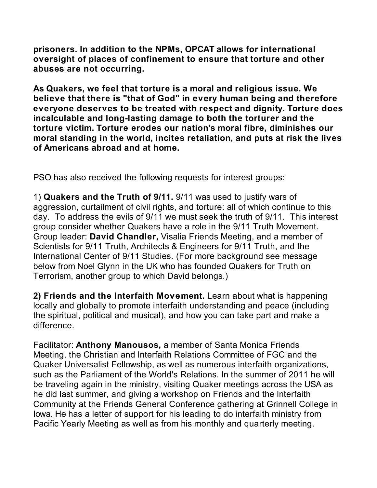**prisoners. In addition to the NPMs, OPCAT allows for international oversight of places of confinement to ensure that torture and other abuses are not occurring.**

**As Quakers, we feel that torture is a moral and religious issue. We believe that there is "that of God" in every human being and therefore everyone deserves to be treated with respect and dignity. Torture does incalculable and long-lasting damage to both the torturer and the torture victim. Torture erodes our nation's moral fibre, diminishes our moral standing in the world, incites retaliation, and puts at risk the lives of Americans abroad and at home.**

PSO has also received the following requests for interest groups:

1) **Quakers and the Truth of 9/11.** 9/11 was used to justify wars of aggression, curtailment of civil rights, and torture: all of which continue to this day. To address the evils of 9/11 we must seek the truth of 9/11. This interest group consider whether Quakers have a role in the 9/11 Truth Movement. Group leader: **David Chandler,** Visalia Friends Meeting, and a member of Scientists for 9/11 Truth, Architects & Engineers for 9/11 Truth, and the International Center of 9/11 Studies. (For more background see message below from Noel Glynn in the UK who has founded Quakers for Truth on Terrorism, another group to which David belongs.)

**2) Friends and the Interfaith Movement.** Learn about what is happening locally and globally to promote interfaith understanding and peace (including the spiritual, political and musical), and how you can take part and make a difference.

Facilitator: **Anthony Manousos,** a member of Santa Monica Friends Meeting, the Christian and Interfaith Relations Committee of FGC and the Quaker Universalist Fellowship, as well as numerous interfaith organizations, such as the Parliament of the World's Relations. In the summer of 2011 he will be traveling again in the ministry, visiting Quaker meetings across the USA as he did last summer, and giving a workshop on Friends and the Interfaith Community at the Friends General Conference gathering at Grinnell College in Iowa. He has a letter of support for his leading to do interfaith ministry from Pacific Yearly Meeting as well as from his monthly and quarterly meeting.